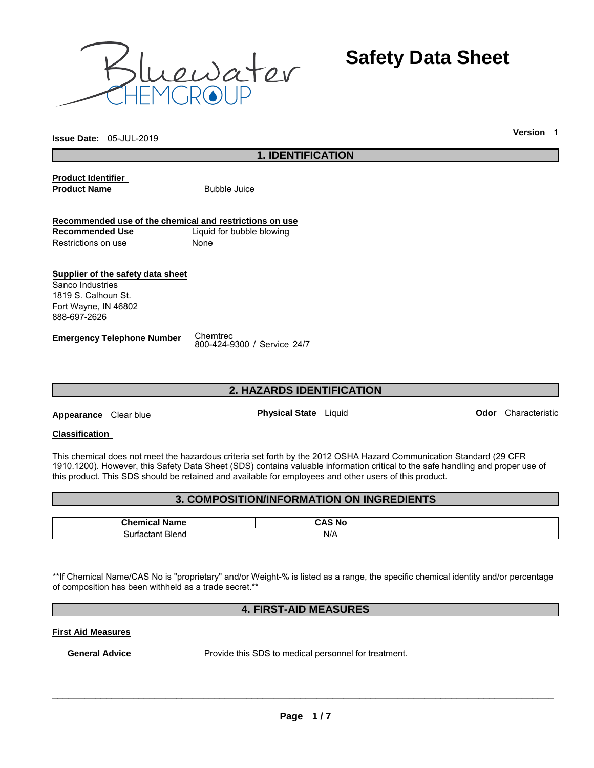

**Safety Data Sheet**

**Issue Date:** 05-JUL-2019 **Version** <sup>1</sup>

# **1. IDENTIFICATION**

**Product Identifier Product Name Bubble Juice** 

## **Recommended use of the chemical and restrictions on use Recommended Use** Liquid for bubble blowing Restrictions on use None

**Supplier of the safety data sheet**  Sanco Industries 1819 S. Calhoun St. Fort Wayne, IN 46802 888-697-2626

# **Emergency Telephone Number** Chemtrec

800-424-9300 / Service 24/7

# **2. HAZARDS IDENTIFICATION**

**Appearance** Clear blue **Physical State** Liquid **Odor** Characteristic

## **Classification**

This chemical does not meet the hazardous criteria set forth by the 2012 OSHA Hazard Communication Standard (29 CFR 1910.1200). However, this Safety Data Sheet (SDS) contains valuable information critical to the safe handling and proper use of this product. This SDS should be retained and available for employees and other users of this product.

# **3. COMPOSITION/INFORMATION ON INGREDIENTS**

| - -<br><b>ALL-</b><br>- ---<br>rame<br>_______ | - 1<br>'N<br>∶ NC<br>___ |  |
|------------------------------------------------|--------------------------|--|
| –<br><b>Blend</b><br>$H = 100$<br>Surractant   | N/A                      |  |

\*\*If Chemical Name/CAS No is "proprietary" and/or Weight-% is listed as a range, the specific chemical identity and/or percentage of composition has been withheld as a trade secret.\*\*

# **4. FIRST-AID MEASURES**

## **First Aid Measures**

**General Advice** Provide this SDS to medical personnel for treatment.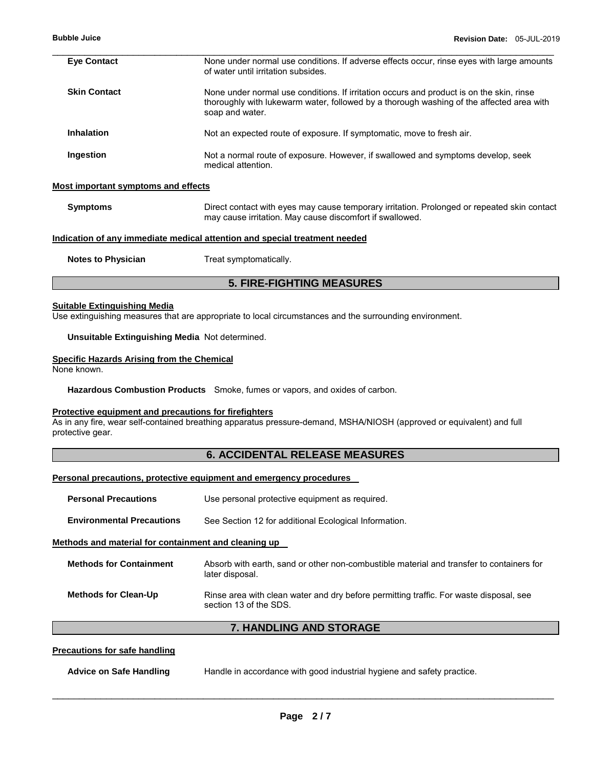| <b>Eye Contact</b>                  | None under normal use conditions. If adverse effects occur, rinse eyes with large amounts<br>of water until irritation subsides.                                                                        |
|-------------------------------------|---------------------------------------------------------------------------------------------------------------------------------------------------------------------------------------------------------|
| <b>Skin Contact</b>                 | None under normal use conditions. If irritation occurs and product is on the skin, rinse<br>thoroughly with lukewarm water, followed by a thorough washing of the affected area with<br>soap and water. |
| <b>Inhalation</b>                   | Not an expected route of exposure. If symptomatic, move to fresh air.                                                                                                                                   |
| Ingestion                           | Not a normal route of exposure. However, if swallowed and symptoms develop, seek<br>medical attention.                                                                                                  |
| Most important symptoms and effects |                                                                                                                                                                                                         |
| <b>Symptoms</b>                     | Direct contact with eyes may cause temporary irritation. Prolonged or repeated skin contact<br>may cause irritation. May cause discomfort if swallowed.                                                 |
|                                     | Indication of any immediate medical attention and special treatment needed                                                                                                                              |
| <b>Notes to Physician</b>           | Treat symptomatically.                                                                                                                                                                                  |
|                                     | <b>5. FIRE-FIGHTING MEASURES</b>                                                                                                                                                                        |

#### **Suitable Extinguishing Media**

Use extinguishing measures that are appropriate to local circumstances and the surrounding environment.

## **Unsuitable Extinguishing Media** Not determined.

#### **Specific Hazards Arising from the Chemical**

None known.

**Hazardous Combustion Products** Smoke, fumes or vapors, and oxides of carbon.

## **Protective equipment and precautions for firefighters**

As in any fire, wear self-contained breathing apparatus pressure-demand, MSHA/NIOSH (approved or equivalent) and full protective gear.

## **6. ACCIDENTAL RELEASE MEASURES**

#### **Personal precautions, protective equipment and emergency procedures**

| <b>Personal Precautions</b>                          | Use personal protective equipment as required.                                                                   |
|------------------------------------------------------|------------------------------------------------------------------------------------------------------------------|
| <b>Environmental Precautions</b>                     | See Section 12 for additional Ecological Information.                                                            |
| Methods and material for containment and cleaning up |                                                                                                                  |
| <b>Methods for Containment</b>                       | Absorb with earth, sand or other non-combustible material and transfer to containers for<br>later disposal.      |
| <b>Methods for Clean-Up</b>                          | Rinse area with clean water and dry before permitting traffic. For waste disposal, see<br>section 13 of the SDS. |

# **7. HANDLING AND STORAGE**

## **Precautions for safe handling**

| <b>Advice on Safe Handling</b> | Handle in accordance with good industrial hygiene and safety practice. |  |
|--------------------------------|------------------------------------------------------------------------|--|
|--------------------------------|------------------------------------------------------------------------|--|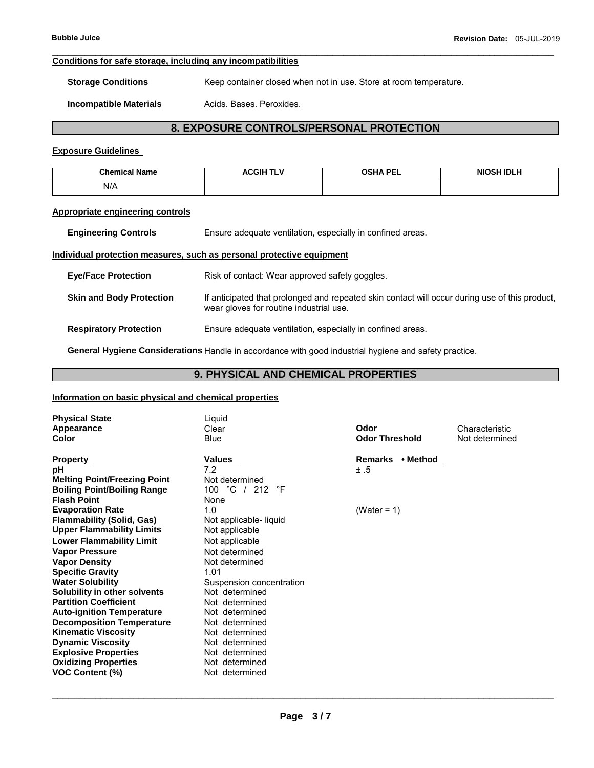#### \_\_\_\_\_\_\_\_\_\_\_\_\_\_\_\_\_\_\_\_\_\_\_\_\_\_\_\_\_\_\_\_\_\_\_\_\_\_\_\_\_\_\_\_\_\_\_\_\_\_\_\_\_\_\_\_\_\_\_\_\_\_\_\_\_\_\_\_\_\_\_\_\_\_\_\_\_\_\_\_\_\_\_\_\_\_\_\_\_\_\_\_\_ **Conditions for safe storage, including any incompatibilities**

**Storage Conditions Keep container closed when not in use. Store at room temperature.** 

**Incompatible Materials Acids. Bases. Peroxides.** 

# **8. EXPOSURE CONTROLS/PERSONAL PROTECTION**

## **Exposure Guidelines**

| <b>Chemical Name</b><br>чанн. | A <b>CGIH TL</b> V | <b>OSHA PEL</b> | <b>NIOSH IDLH</b><br>the contract of the contract of the contract of the contract of the contract of |
|-------------------------------|--------------------|-----------------|------------------------------------------------------------------------------------------------------|
| N/A                           |                    |                 |                                                                                                      |

## **Appropriate engineering controls**

| <b>Engineering Controls</b>     | Ensure adequate ventilation, especially in confined areas.                                                                                |  |
|---------------------------------|-------------------------------------------------------------------------------------------------------------------------------------------|--|
|                                 | Individual protection measures, such as personal protective equipment                                                                     |  |
| <b>Eye/Face Protection</b>      | Risk of contact: Wear approved safety goggles.                                                                                            |  |
| <b>Skin and Body Protection</b> | If anticipated that prolonged and repeated skin contact will occur during use of this product,<br>wear gloves for routine industrial use. |  |
| <b>Respiratory Protection</b>   | Ensure adequate ventilation, especially in confined areas.                                                                                |  |

**General Hygiene Considerations** Handle in accordance with good industrial hygiene and safety practice.

## **9. PHYSICAL AND CHEMICAL PROPERTIES**

## **Information on basic physical and chemical properties**

| <b>Physical State</b><br>Appearance<br><b>Color</b> | Liquid<br>Clear<br><b>Blue</b> | Odor<br><b>Odor Threshold</b> | Characteristic<br>Not determined |
|-----------------------------------------------------|--------------------------------|-------------------------------|----------------------------------|
| <b>Property</b>                                     | Values                         | Remarks • Method              |                                  |
| рH                                                  | 7.2                            | ±.5                           |                                  |
| <b>Melting Point/Freezing Point</b>                 | Not determined                 |                               |                                  |
| <b>Boiling Point/Boiling Range</b>                  | 100 °C /<br>212<br>°F          |                               |                                  |
| <b>Flash Point</b>                                  | None                           |                               |                                  |
| <b>Evaporation Rate</b>                             | 1.0                            | (Water = $1$ )                |                                  |
| <b>Flammability (Solid, Gas)</b>                    | Not applicable- liquid         |                               |                                  |
| <b>Upper Flammability Limits</b>                    | Not applicable                 |                               |                                  |
| <b>Lower Flammability Limit</b>                     | Not applicable                 |                               |                                  |
| <b>Vapor Pressure</b>                               | Not determined                 |                               |                                  |
| <b>Vapor Density</b>                                | Not determined                 |                               |                                  |
| <b>Specific Gravity</b>                             | 1.01                           |                               |                                  |
| <b>Water Solubility</b>                             | Suspension concentration       |                               |                                  |
| Solubility in other solvents                        | Not determined                 |                               |                                  |
| <b>Partition Coefficient</b>                        | Not determined                 |                               |                                  |
| <b>Auto-ignition Temperature</b>                    | Not determined                 |                               |                                  |
| <b>Decomposition Temperature</b>                    | Not determined                 |                               |                                  |
| <b>Kinematic Viscosity</b>                          | Not determined                 |                               |                                  |
| <b>Dynamic Viscosity</b>                            | Not determined                 |                               |                                  |
| <b>Explosive Properties</b>                         | Not determined                 |                               |                                  |
| <b>Oxidizing Properties</b>                         | Not determined                 |                               |                                  |
| <b>VOC Content (%)</b>                              | Not determined                 |                               |                                  |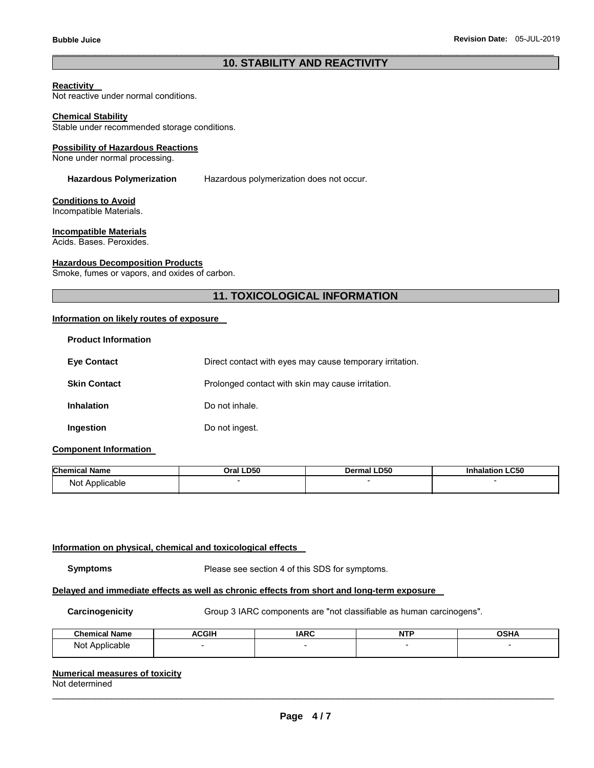## \_\_\_\_\_\_\_\_\_\_\_\_\_\_\_\_\_\_\_\_\_\_\_\_\_\_\_\_\_\_\_\_\_\_\_\_\_\_\_\_\_\_\_\_\_\_\_\_\_\_\_\_\_\_\_\_\_\_\_\_\_\_\_\_\_\_\_\_\_\_\_\_\_\_\_\_\_\_\_\_\_\_\_\_\_\_\_\_\_\_\_\_\_ **10. STABILITY AND REACTIVITY**

#### **Reactivity**

Not reactive under normal conditions.

#### **Chemical Stability**

Stable under recommended storage conditions.

#### **Possibility of Hazardous Reactions**

None under normal processing.

**Hazardous Polymerization** Hazardous polymerization does not occur.

#### **Conditions to Avoid**

Incompatible Materials.

#### **Incompatible Materials**

Acids. Bases. Peroxides.

#### **Hazardous Decomposition Products**

Smoke, fumes or vapors, and oxides of carbon.

## **11. TOXICOLOGICAL INFORMATION**

#### **Information on likely routes of exposure**

| <b>Product Information</b> |                                                          |
|----------------------------|----------------------------------------------------------|
| <b>Eye Contact</b>         | Direct contact with eyes may cause temporary irritation. |
| <b>Skin Contact</b>        | Prolonged contact with skin may cause irritation.        |
| <b>Inhalation</b>          | Do not inhale.                                           |
| Ingestion                  | Do not ingest.                                           |

## **Component Information**

| <b>Chemical Name</b> | LD50    | <b>LD50</b> | LC50      |
|----------------------|---------|-------------|-----------|
|                      | ົາral ເ | Dermal      | halation) |
| Not Applicable       |         |             |           |

#### **Information on physical, chemical and toxicological effects**

**Symptoms** Please see section 4 of this SDS for symptoms.

## **Delayed and immediate effects as well as chronic effects from short and long-term exposure**

**Carcinogenicity** Group 3 IARC components are "not classifiable as human carcinogens".

| .<br>Chamical .<br>Jome | ACGIH | <b>IARC</b> | NT' | ∩รµ∠ |
|-------------------------|-------|-------------|-----|------|
| Not<br>Japie            |       |             |     |      |

## **Numerical measures of toxicity**

Not determined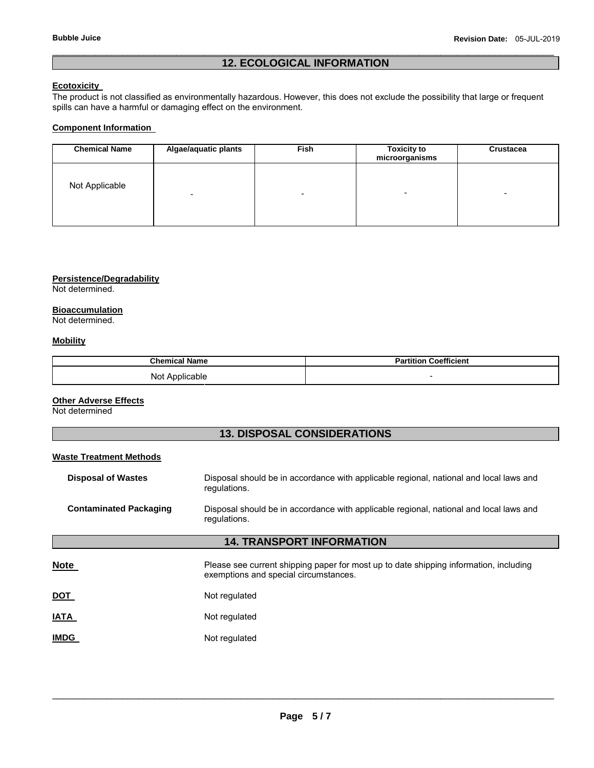## \_\_\_\_\_\_\_\_\_\_\_\_\_\_\_\_\_\_\_\_\_\_\_\_\_\_\_\_\_\_\_\_\_\_\_\_\_\_\_\_\_\_\_\_\_\_\_\_\_\_\_\_\_\_\_\_\_\_\_\_\_\_\_\_\_\_\_\_\_\_\_\_\_\_\_\_\_\_\_\_\_\_\_\_\_\_\_\_\_\_\_\_\_ **12. ECOLOGICAL INFORMATION**

## **Ecotoxicity**

The product is not classified as environmentally hazardous. However, this does not exclude the possibility that large or frequent spills can have a harmful or damaging effect on the environment.

## **Component Information**

| <b>Chemical Name</b> | Algae/aquatic plants     | Fish | <b>Toxicity to</b><br>microorganisms | Crustacea |
|----------------------|--------------------------|------|--------------------------------------|-----------|
| Not Applicable       | $\overline{\phantom{0}}$ | -    | -                                    |           |

## **Persistence/Degradability**

Not determined.

## **Bioaccumulation**

Not determined.

## **Mobility**

| <b>Chemical Name</b> | Coefficient              |
|----------------------|--------------------------|
| Not<br>Applicable    | $\overline{\phantom{0}}$ |

#### **Other Adverse Effects**

Not determined

## **13. DISPOSAL CONSIDERATIONS**

| <b>Waste Treatment Methods</b>                                                                                                          |                                                                                                                                |  |  |  |  |
|-----------------------------------------------------------------------------------------------------------------------------------------|--------------------------------------------------------------------------------------------------------------------------------|--|--|--|--|
| <b>Disposal of Wastes</b>                                                                                                               | Disposal should be in accordance with applicable regional, national and local laws and<br>regulations.                         |  |  |  |  |
| <b>Contaminated Packaging</b><br>Disposal should be in accordance with applicable regional, national and local laws and<br>regulations. |                                                                                                                                |  |  |  |  |
| <b>14. TRANSPORT INFORMATION</b>                                                                                                        |                                                                                                                                |  |  |  |  |
| <b>Note</b>                                                                                                                             | Please see current shipping paper for most up to date shipping information, including<br>exemptions and special circumstances. |  |  |  |  |
| <b>DOT</b>                                                                                                                              | Not regulated                                                                                                                  |  |  |  |  |
| <b>IATA</b>                                                                                                                             | Not regulated                                                                                                                  |  |  |  |  |
| <b>IMDG</b>                                                                                                                             | Not regulated                                                                                                                  |  |  |  |  |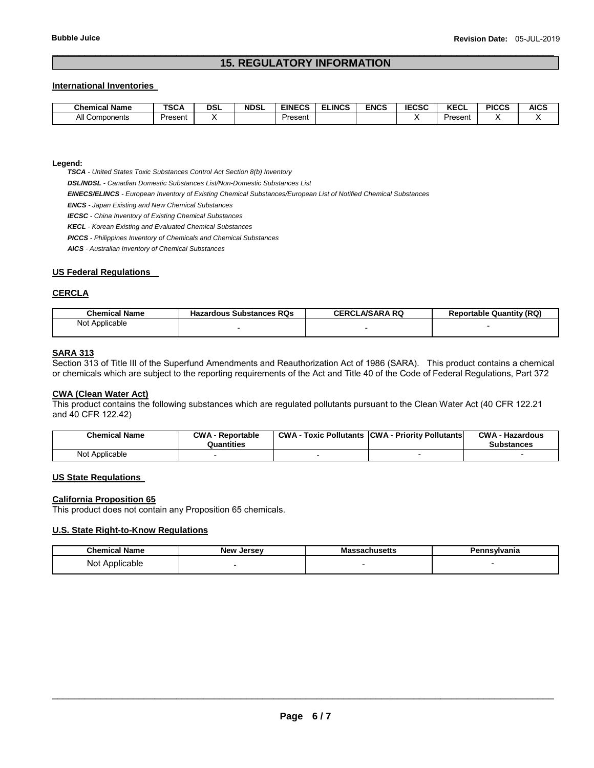## \_\_\_\_\_\_\_\_\_\_\_\_\_\_\_\_\_\_\_\_\_\_\_\_\_\_\_\_\_\_\_\_\_\_\_\_\_\_\_\_\_\_\_\_\_\_\_\_\_\_\_\_\_\_\_\_\_\_\_\_\_\_\_\_\_\_\_\_\_\_\_\_\_\_\_\_\_\_\_\_\_\_\_\_\_\_\_\_\_\_\_\_\_ **15. REGULATORY INFORMATION**

## **International Inventories**

| .<br>Chemical<br>Name | TOO A<br>אטט | <b>DSL</b> | <b>NDSL</b> | EINECS  | <b>_INCS</b> | ENCS | 5000<br>. .<br>-uou | $2F^{\prime}$<br>ncul | <b>PICCS</b> | <b>AICS</b> |
|-----------------------|--------------|------------|-------------|---------|--------------|------|---------------------|-----------------------|--------------|-------------|
| All<br>Components     | Present      |            |             | Present |              |      |                     | <sup>บ</sup> resent   |              |             |

**Legend:** 

*TSCA - United States Toxic Substances Control Act Section 8(b) Inventory* 

*DSL/NDSL - Canadian Domestic Substances List/Non-Domestic Substances List* 

*EINECS/ELINCS - European Inventory of Existing Chemical Substances/European List of Notified Chemical Substances* 

*ENCS - Japan Existing and New Chemical Substances* 

*IECSC - China Inventory of Existing Chemical Substances* 

*KECL - Korean Existing and Evaluated Chemical Substances* 

*PICCS - Philippines Inventory of Chemicals and Chemical Substances* 

*AICS - Australian Inventory of Chemical Substances* 

### **US Federal Regulations**

## **CERCLA**

| <b>Chemical Name</b> | <b>Hazardous Substances RQs</b> | <b>CERCLA/SARA RQ</b> | <b>Reportable Quantity (RQ)</b> |
|----------------------|---------------------------------|-----------------------|---------------------------------|
| Not Applicable       |                                 |                       |                                 |
|                      |                                 |                       |                                 |

## **SARA 313**

Section 313 of Title III of the Superfund Amendments and Reauthorization Act of 1986 (SARA). This product contains a chemical or chemicals which are subject to the reporting requirements of the Act and Title 40 of the Code of Federal Regulations, Part 372

# **CWA (Clean Water Act)**

This product contains the following substances which are regulated pollutants pursuant to the Clean Water Act (40 CFR 122.21 and 40 CFR 122.42)

| <b>Chemical Name</b> | <b>CWA - Reportable</b><br>Quantities | <b>CWA - Toxic Pollutants CWA - Priority Pollutants</b> | <b>CWA - Hazardous</b><br><b>Substances</b> |
|----------------------|---------------------------------------|---------------------------------------------------------|---------------------------------------------|
| Not Applicable       |                                       |                                                         |                                             |

#### **US State Regulations**

#### **California Proposition 65**

This product does not contain any Proposition 65 chemicals.

#### **U.S. State Right-to-Know Regulations**

| <b>Chemical Name</b> | <b>New</b><br>. Jersev | <br>`sachusetts | Pennsylvania |
|----------------------|------------------------|-----------------|--------------|
| Not Applicable       |                        |                 |              |